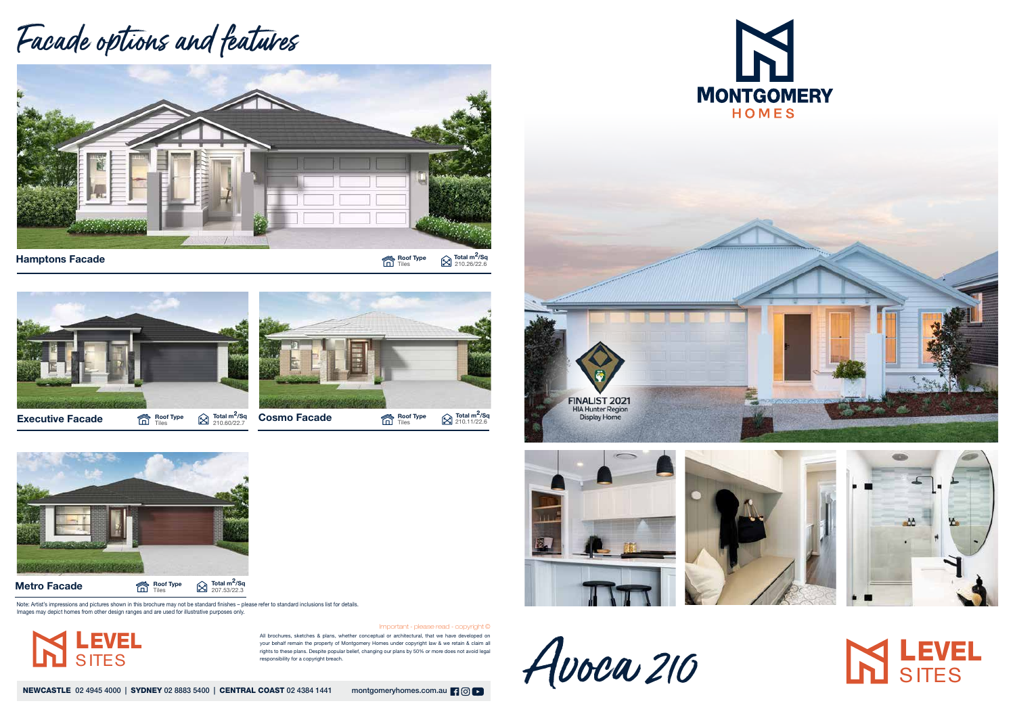All brochures, sketches & plans, whether conceptual or architectural, that we have developed on your behalf remain the property of Montgomery Homes under copyright law & we retain & claim all rights to these plans. Despite popular belief, changing our plans by 50% or more does not avoid legal responsibility for a copyright breach.

NEWCASTLE 02 4945 4000 | SYDNEY 02 8883 5400 | CENTRAL COAST 02 4384 1441 montgomeryhomes.com.au | 9 0 | 0





Important - please read - copyright ©

## Facade options and features



Hamptons Facade

**Roof Type**  $\bigotimes_{210.26/22.6}^{\text{\textsf{Total}}}$  **m<sup>2</sup>/Sq** 







Roof Type<br>  $\widehat{\Box}$  Tiles

Note: Artist's impressions and pictures shown in this brochure may not be standard finishes – please refer to standard inclusions list for details. Images may depict homes from other design ranges and are used for illustrative purposes only.









## **IN LEVEL**